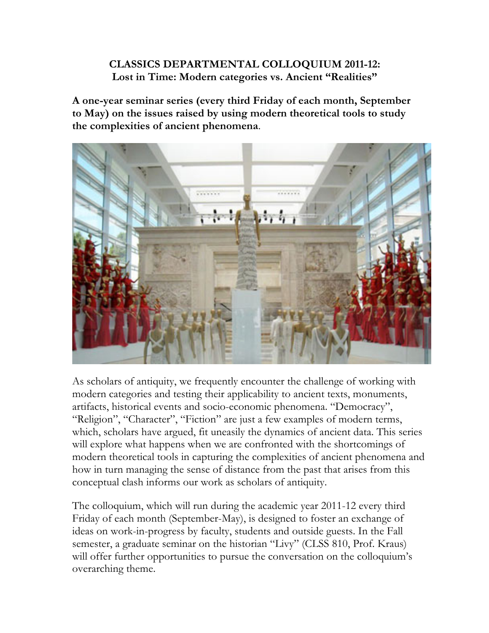## **CLASSICS DEPARTMENTAL COLLOQUIUM 2011-12: Lost in Time: Modern categories vs. Ancient "Realities"**

**A one-year seminar series (every third Friday of each month, September to May) on the issues raised by using modern theoretical tools to study the complexities of ancient phenomena**.



As scholars of antiquity, we frequently encounter the challenge of working with modern categories and testing their applicability to ancient texts, monuments, artifacts, historical events and socio-economic phenomena. "Democracy", "Religion", "Character", "Fiction" are just a few examples of modern terms, which, scholars have argued, fit uneasily the dynamics of ancient data. This series will explore what happens when we are confronted with the shortcomings of modern theoretical tools in capturing the complexities of ancient phenomena and how in turn managing the sense of distance from the past that arises from this conceptual clash informs our work as scholars of antiquity.

The colloquium, which will run during the academic year 2011-12 every third Friday of each month (September-May), is designed to foster an exchange of ideas on work-in-progress by faculty, students and outside guests. In the Fall semester, a graduate seminar on the historian "Livy" (CLSS 810, Prof. Kraus) will offer further opportunities to pursue the conversation on the colloquium's overarching theme.